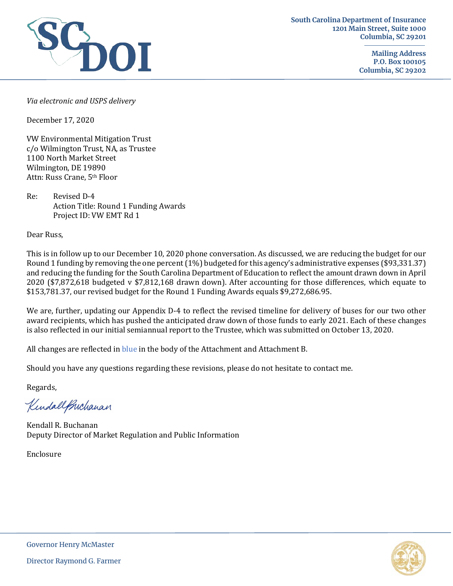

**Mailing Address P.O. Box 100105 Columbia, SC 29202**

*Via electronic and USPS delivery*

December 17, 2020

VW Environmental Mitigation Trust c/o Wilmington Trust, NA, as Trustee 1100 North Market Street Wilmington, DE 19890 Attn: Russ Crane, 5th Floor

Re: Revised D-4 Action Title: Round 1 Funding Awards Project ID: VW EMT Rd 1

Dear Russ,

This is in follow up to our December 10, 2020 phone conversation. As discussed, we are reducing the budget for our Round 1 funding by removing the one percent (1%) budgeted for this agency's administrative expenses (\$93,331.37) and reducing the funding for the South Carolina Department of Education to reflect the amount drawn down in April 2020 (\$7,872,618 budgeted v \$7,812,168 drawn down). After accounting for those differences, which equate to \$153,781.37, our revised budget for the Round 1 Funding Awards equals \$9,272,686.95.

We are, further, updating our Appendix D-4 to reflect the revised timeline for delivery of buses for our two other award recipients, which has pushed the anticipated draw down of those funds to early 2021. Each of these changes is also reflected in our initial semiannual report to the Trustee, which was submitted on October 13, 2020.

All changes are reflected in blue in the body of the Attachment and Attachment B.

Should you have any questions regarding these revisions, please do not hesitate to contact me.

Regards,

KindallPuchanan

Kendall R. Buchanan Deputy Director of Market Regulation and Public Information

Enclosure

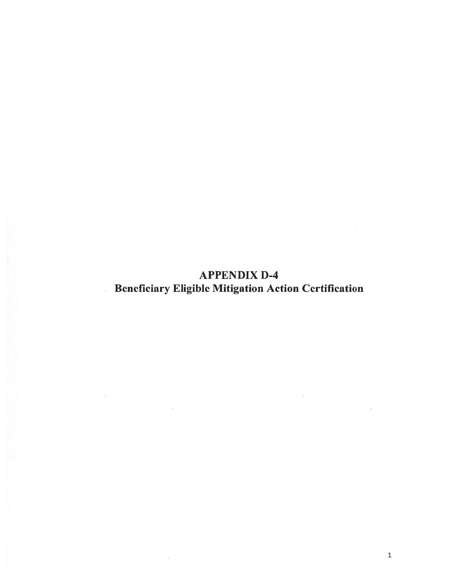**APPENDIX D-4 Beneficiary Eligible Mitigation Action Certification** 

 $\epsilon$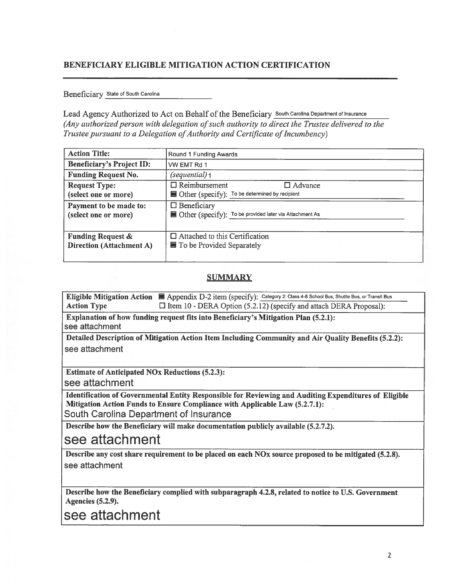#### **BENEFICIARY ELIGIBLE MITIGATION ACTION CERTIFICATION**

Beneficiary State of South Carolina

Lead Agency Authorized to Act on Behalf of the Beneficiary South Carolina Department of Insurance (Any authorized person with delegation of such authority to direct the Trustee delivered to the Trustee pursuant to a Delegation of Authority and Certificate of Incumbency)

| <b>Action Title:</b>                                            | Round 1 Funding Awards                                                                   |
|-----------------------------------------------------------------|------------------------------------------------------------------------------------------|
| <b>Beneficiary's Project ID:</b>                                | VW EMT Rd 1                                                                              |
| <b>Funding Request No.</b>                                      | (sequential) 1                                                                           |
| <b>Request Type:</b><br>(select one or more)                    | $\Box$ Reimbursement<br>$\Box$ Advance<br>Other (specify): To be determined by recipient |
| Payment to be made to:<br>(select one or more)                  | $\Box$ Beneficiary<br>Other (specify): To be provided later via Attachment As            |
| <b>Funding Request &amp;</b><br><b>Direction (Attachment A)</b> | $\Box$ Attached to this Certification<br>■ To be Provided Separately                     |

#### **SUMMARY**

Eligible Mitigation Action | Appendix D-2 item (specify): Category 2: Class 4-8 School Bus, Shuttle Bus, or Transit Bus  $\Box$  Item 10 - DERA Option (5.2.12) (specify and attach DERA Proposal): **Action Type** 

Explanation of how funding request fits into Beneficiary's Mitigation Plan (5.2.1): see attachment

Detailed Description of Mitigation Action Item Including Community and Air Quality Benefits (5.2.2): see attachment

**Estimate of Anticipated NOx Reductions (5.2.3):** 

see attachment

Identification of Governmental Entity Responsible for Reviewing and Auditing Expenditures of Eligible Mitigation Action Funds to Ensure Compliance with Applicable Law (5.2.7.1): South Carolina Department of Insurance

Describe how the Beneficiary will make documentation publicly available (5.2.7.2).

## see attachment

Describe any cost share requirement to be placed on each NOx source proposed to be mitigated (5.2.8). see attachment

Describe how the Beneficiary complied with subparagraph 4.2.8, related to notice to U.S. Government **Agencies** (5.2.9).

see attachment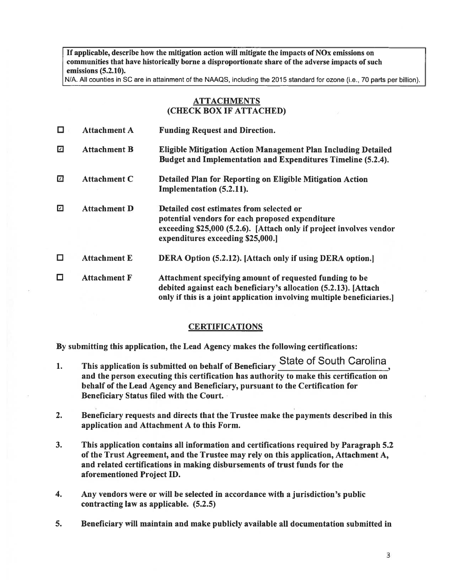If applicable, describe how the mitigation action will mitigate the impacts of  $\overline{NOx}$  emissions on communities that have historically borne a disproportionate share of the adverse impacts of such emissions (5.2.10).

N/A. All counties in SC are in attainment of the NAAQS, including the 2015 standard for ozone (i.e., 70 parts per billion).

#### **ATTACHMENTS** (CHECK BOX IF ATTACHED)

| □      | <b>Attachment A</b> | <b>Funding Request and Direction.</b>                                                                                                                                                                  |
|--------|---------------------|--------------------------------------------------------------------------------------------------------------------------------------------------------------------------------------------------------|
| ☑      | <b>Attachment B</b> | Eligible Mitigation Action Management Plan Including Detailed<br>Budget and Implementation and Expenditures Timeline (5.2.4).                                                                          |
| ☑      | <b>Attachment C</b> | Detailed Plan for Reporting on Eligible Mitigation Action<br>Implementation (5.2.11).                                                                                                                  |
| ☑      | <b>Attachment D</b> | Detailed cost estimates from selected or<br>potential vendors for each proposed expenditure<br>exceeding \$25,000 (5.2.6). [Attach only if project involves vendor<br>expenditures exceeding \$25,000. |
| □      | <b>Attachment E</b> | <b>DERA Option (5.2.12).</b> [Attach only if using DERA option.]                                                                                                                                       |
| $\Box$ | <b>Attachment F</b> | Attachment specifying amount of requested funding to be<br>debited against each beneficiary's allocation (5.2.13). [Attach<br>only if this is a joint application involving multiple beneficiaries.    |

#### **CERTIFICATIONS**

By submitting this application, the Lead Agency makes the following certifications:

- **State of South Carolina** This application is submitted on behalf of Beneficiary  $\mathbf{1}$ . and the person executing this certification has authority to make this certification on behalf of the Lead Agency and Beneficiary, pursuant to the Certification for Beneficiary Status filed with the Court.
- $2.$ Beneficiary requests and directs that the Trustee make the payments described in this application and Attachment A to this Form.
- $3.$ This application contains all information and certifications required by Paragraph 5.2 of the Trust Agreement, and the Trustee may rely on this application, Attachment A, and related certifications in making disbursements of trust funds for the aforementioned Project ID.
- 4. Any vendors were or will be selected in accordance with a jurisdiction's public contracting law as applicable. (5.2.5)
- $5.$ Beneficiary will maintain and make publicly available all documentation submitted in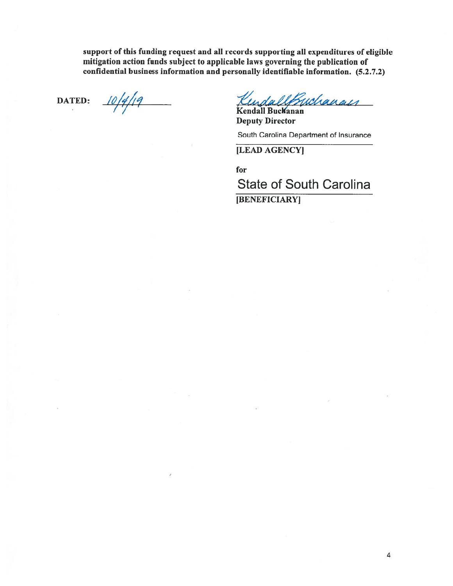support of this funding request and all records supporting all expenditures of eligible mitigation action funds subject to applicable laws governing the publication of confidential business information and personally identifiable information. (5.2.7.2)

**DATED:** 

 $10/4/19$ 

KindallBuchanan

**Deputy Director** 

South Carolina Department of Insurance

[LEAD AGENCY]

for

**State of South Carolina** 

[BENEFICIARY]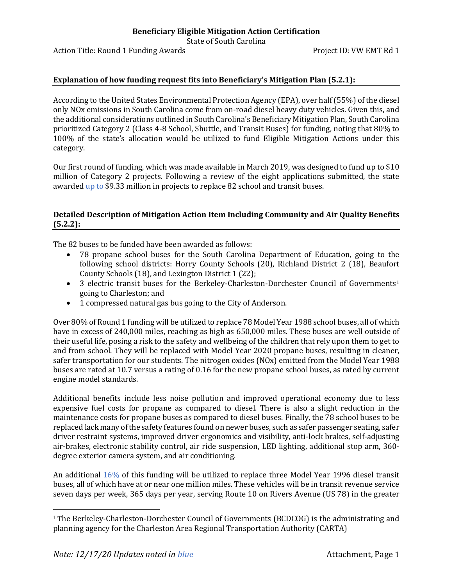State of South Carolina

Action Title: Round 1 Funding Awards **Project ID: VW EMT Rd** 1

#### **Explanation of how funding request fits into Beneficiary's Mitigation Plan (5.2.1):**

According to the United States Environmental Protection Agency (EPA), over half (55%) of the diesel only NOx emissions in South Carolina come from on-road diesel heavy duty vehicles. Given this, and the additional considerations outlined in South Carolina's Beneficiary Mitigation Plan, South Carolina prioritized Category 2 (Class 4-8 School, Shuttle, and Transit Buses) for funding, noting that 80% to 100% of the state's allocation would be utilized to fund Eligible Mitigation Actions under this category.

Our first round of funding, which was made available in March 2019, was designed to fund up to \$10 million of Category 2 projects. Following a review of the eight applications submitted, the state awarded up to \$9.33 million in projects to replace 82 school and transit buses.

#### **Detailed Description of Mitigation Action Item Including Community and Air Quality Benefits (5.2.2):**

The 82 buses to be funded have been awarded as follows:

- 78 propane school buses for the South Carolina Department of Education, going to the following school districts: Horry County Schools (20), Richland District 2 (18), Beaufort County Schools (18), and Lexington District 1 (22);
- 3 electric transit buses for the Berkeley-Charleston-Dorchester Council of Governments[1](#page-5-0) going to Charleston; and
- 1 compressed natural gas bus going to the City of Anderson.

Over 80% of Round 1 funding will be utilized to replace 78 Model Year 1988 school buses, all of which have in excess of 240,000 miles, reaching as high as 650,000 miles. These buses are well outside of their useful life, posing a risk to the safety and wellbeing of the children that rely upon them to get to and from school. They will be replaced with Model Year 2020 propane buses, resulting in cleaner, safer transportation for our students. The nitrogen oxides (NOx) emitted from the Model Year 1988 buses are rated at 10.7 versus a rating of 0.16 for the new propane school buses, as rated by current engine model standards.

Additional benefits include less noise pollution and improved operational economy due to less expensive fuel costs for propane as compared to diesel. There is also a slight reduction in the maintenance costs for propane buses as compared to diesel buses. Finally, the 78 school buses to be replaced lack many of the safety features found on newer buses, such as safer passenger seating, safer driver restraint systems, improved driver ergonomics and visibility, anti-lock brakes, self-adjusting air-brakes, electronic stability control, air ride suspension, LED lighting, additional stop arm, 360 degree exterior camera system, and air conditioning.

An additional 16% of this funding will be utilized to replace three Model Year 1996 diesel transit buses, all of which have at or near one million miles. These vehicles will be in transit revenue service seven days per week, 365 days per year, serving Route 10 on Rivers Avenue (US 78) in the greater

 $\overline{a}$ 

<span id="page-5-0"></span><sup>1</sup> The Berkeley-Charleston-Dorchester Council of Governments (BCDCOG) is the administrating and planning agency for the Charleston Area Regional Transportation Authority (CARTA)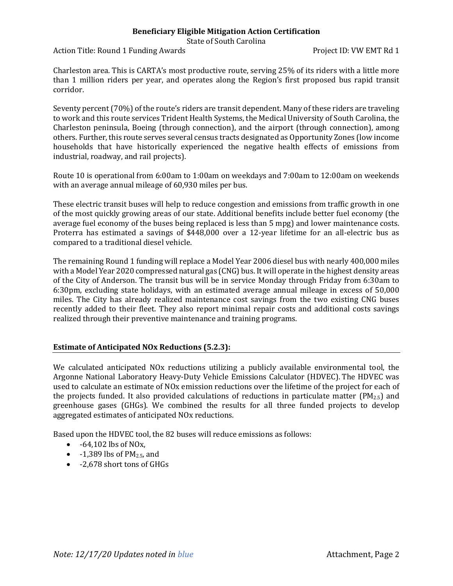State of South Carolina

Action Title: Round 1 Funding Awards **Project ID: VW EMT Rd** 1

Charleston area. This is CARTA's most productive route, serving 25% of its riders with a little more than 1 million riders per year, and operates along the Region's first proposed bus rapid transit corridor.

Seventy percent (70%) of the route's riders are transit dependent. Many of these riders are traveling to work and this route services Trident Health Systems, the Medical University of South Carolina, the Charleston peninsula, Boeing (through connection), and the airport (through connection), among others. Further, this route serves several census tracts designated as Opportunity Zones (low income households that have historically experienced the negative health effects of emissions from industrial, roadway, and rail projects).

Route 10 is operational from 6:00am to 1:00am on weekdays and 7:00am to 12:00am on weekends with an average annual mileage of 60,930 miles per bus.

These electric transit buses will help to reduce congestion and emissions from traffic growth in one of the most quickly growing areas of our state. Additional benefits include better fuel economy (the average fuel economy of the buses being replaced is less than 5 mpg) and lower maintenance costs. Proterra has estimated a savings of \$448,000 over a 12-year lifetime for an all-electric bus as compared to a traditional diesel vehicle.

The remaining Round 1 funding will replace a Model Year 2006 diesel bus with nearly 400,000 miles with a Model Year 2020 compressed natural gas (CNG) bus. It will operate in the highest density areas of the City of Anderson. The transit bus will be in service Monday through Friday from 6:30am to 6:30pm, excluding state holidays, with an estimated average annual mileage in excess of 50,000 miles. The City has already realized maintenance cost savings from the two existing CNG buses recently added to their fleet. They also report minimal repair costs and additional costs savings realized through their preventive maintenance and training programs.

#### **Estimate of Anticipated NOx Reductions (5.2.3):**

We calculated anticipated NOx reductions utilizing a publicly available environmental tool, the Argonne National Laboratory Heavy-Duty Vehicle Emissions Calculator (HDVEC). The HDVEC was used to calculate an estimate of NOx emission reductions over the lifetime of the project for each of the projects funded. It also provided calculations of reductions in particulate matter  $(PM_{2.5})$  and greenhouse gases (GHGs). We combined the results for all three funded projects to develop aggregated estimates of anticipated NOx reductions.

Based upon the HDVEC tool, the 82 buses will reduce emissions as follows:

- $\bullet$  -64,102 lbs of NO<sub>x</sub>,
- $\bullet$  -1,389 lbs of PM<sub>2.5</sub>, and
- -2,678 short tons of GHGs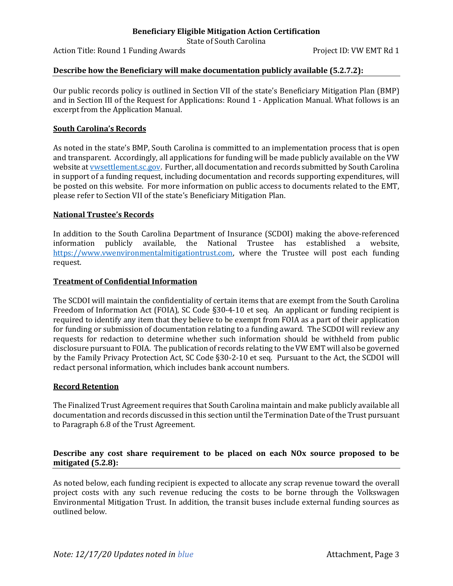State of South Carolina

Action Title: Round 1 Funding Awards **Project ID: VW EMT Rd** 1

#### **Describe how the Beneficiary will make documentation publicly available (5.2.7.2):**

Our public records policy is outlined in Section VII of the state's Beneficiary Mitigation Plan (BMP) and in Section III of the Request for Applications: Round 1 - Application Manual. What follows is an excerpt from the Application Manual.

#### **South Carolina's Records**

As noted in the state's BMP, South Carolina is committed to an implementation process that is open and transparent. Accordingly, all applications for funding will be made publicly available on the VW website at **vwsettlement.sc.gov.** Further, all documentation and records submitted by South Carolina in support of a funding request, including documentation and records supporting expenditures, will be posted on this website. For more information on public access to documents related to the EMT, please refer to Section VII of the state's Beneficiary Mitigation Plan.

#### **National Trustee's Records**

In addition to the South Carolina Department of Insurance (SCDOI) making the above-referenced information publicly available, the National Trustee has established a website, [https://www.vwenvironmentalmitigationtrust.com,](https://www.vwenvironmentalmitigationtrust.com/) where the Trustee will post each funding request.

#### **Treatment of Confidential Information**

The SCDOI will maintain the confidentiality of certain items that are exempt from the South Carolina Freedom of Information Act (FOIA), SC Code §30-4-10 et seq. An applicant or funding recipient is required to identify any item that they believe to be exempt from FOIA as a part of their application for funding or submission of documentation relating to a funding award. The SCDOI will review any requests for redaction to determine whether such information should be withheld from public disclosure pursuant to FOIA. The publication of records relating to the VW EMT will also be governed by the Family Privacy Protection Act, SC Code §30-2-10 et seq. Pursuant to the Act, the SCDOI will redact personal information, which includes bank account numbers.

#### **Record Retention**

The Finalized Trust Agreement requires that South Carolina maintain and make publicly available all documentation and records discussed in this section until the Termination Date of the Trust pursuant to Paragraph 6.8 of the Trust Agreement.

#### **Describe any cost share requirement to be placed on each NOx source proposed to be mitigated (5.2.8):**

As noted below, each funding recipient is expected to allocate any scrap revenue toward the overall project costs with any such revenue reducing the costs to be borne through the Volkswagen Environmental Mitigation Trust. In addition, the transit buses include external funding sources as outlined below.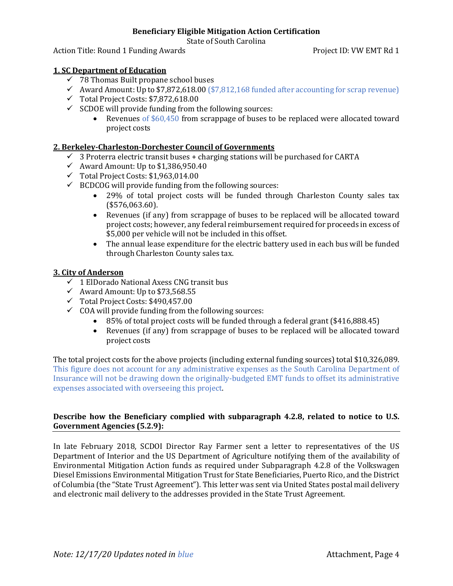State of South Carolina

Action Title: Round 1 Funding Awards **Project ID: VW EMT Rd** 1

#### **1. SC Department of Education**

- $\checkmark$  78 Thomas Built propane school buses
- Award Amount: Up to  $$7,872,618.00$  ( $$7,812,168$  funded after accounting for scrap revenue)
- $\checkmark$  Total Project Costs: \$7,872,618.00
- $\checkmark$  SCDOE will provide funding from the following sources:<br>Revenues of \$60,450 from scrappage of buses to
	- Revenues of \$60,450 from scrappage of buses to be replaced were allocated toward project costs

#### **2. Berkeley-Charleston-Dorchester Council of Governments**

- $\checkmark$  3 Proterra electric transit buses + charging stations will be purchased for CARTA
- $\checkmark$  Award Amount: Up to \$1,386,950.40
- $\checkmark$  Total Project Costs: \$1,963,014.00
- $\checkmark$  BCDCOG will provide funding from the following sources:
	- 29% of total project costs will be funded through Charleston County sales tax (\$576,063.60).
	- Revenues (if any) from scrappage of buses to be replaced will be allocated toward project costs; however, any federal reimbursement required for proceeds in excess of \$5,000 per vehicle will not be included in this offset.
	- The annual lease expenditure for the electric battery used in each bus will be funded through Charleston County sales tax.

#### **3. City of Anderson**

- $\overline{6}$  1 ElDorado National Axess CNG transit bus
- $\checkmark$  Award Amount: Up to \$73,568.55
- Total Project Costs: \$490,457.00
- $\checkmark$  COA will provide funding from the following sources:
	- 85% of total project costs will be funded through a federal grant (\$416,888.45)<br>• Revenues (if any) from scrappage of buses to be replaced will be allocated to
	- Revenues (if any) from scrappage of buses to be replaced will be allocated toward project costs

The total project costs for the above projects (including external funding sources) total \$10,326,089. This figure does not account for any administrative expenses as the South Carolina Department of Insurance will not be drawing down the originally-budgeted EMT funds to offset its administrative expenses associated with overseeing this project.

#### **Describe how the Beneficiary complied with subparagraph 4.2.8, related to notice to U.S. Government Agencies (5.2.9):**

In late February 2018, SCDOI Director Ray Farmer sent a letter to representatives of the US Department of Interior and the US Department of Agriculture notifying them of the availability of Environmental Mitigation Action funds as required under Subparagraph 4.2.8 of the Volkswagen Diesel Emissions Environmental Mitigation Trust for State Beneficiaries, Puerto Rico, and the District of Columbia (the "State Trust Agreement"). This letter was sent via United States postal mail delivery and electronic mail delivery to the addresses provided in the State Trust Agreement.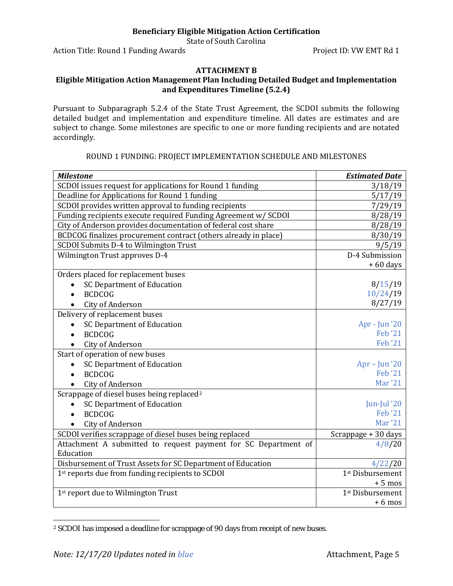State of South Carolina

Action Title: Round 1 Funding Awards Action Title: VW EMT Rd 1

## **ATTACHMENT B**

#### **Eligible Mitigation Action Management Plan Including Detailed Budget and Implementation and Expenditures Timeline (5.2.4)**

Pursuant to Subparagraph 5.2.4 of the State Trust Agreement, the SCDOI submits the following detailed budget and implementation and expenditure timeline. All dates are estimates and are subject to change. Some milestones are specific to one or more funding recipients and are notated accordingly.

#### ROUND 1 FUNDING: PROJECT IMPLEMENTATION SCHEDULE AND MILESTONES

| <b>Milestone</b>                                                | <b>Estimated Date</b>        |
|-----------------------------------------------------------------|------------------------------|
| SCDOI issues request for applications for Round 1 funding       | 3/18/19                      |
| Deadline for Applications for Round 1 funding                   | 5/17/19                      |
| SCDOI provides written approval to funding recipients           | 7/29/19                      |
| Funding recipients execute required Funding Agreement w/ SCDOI  | 8/28/19                      |
| City of Anderson provides documentation of federal cost share   | 8/28/19                      |
| BCDCOG finalizes procurement contract (others already in place) | 8/30/19                      |
| SCDOI Submits D-4 to Wilmington Trust                           | 9/5/19                       |
| Wilmington Trust approves D-4                                   | D-4 Submission               |
|                                                                 | $+60$ days                   |
| Orders placed for replacement buses                             |                              |
| <b>SC Department of Education</b>                               | 8/15/19                      |
| <b>BCDCOG</b>                                                   | 10/24/19                     |
| City of Anderson                                                | 8/27/19                      |
| Delivery of replacement buses                                   |                              |
| <b>SC Department of Education</b>                               | Apr - Jun '20                |
| <b>BCDCOG</b>                                                   | <b>Feb</b> '21               |
| City of Anderson                                                | <b>Feb</b> '21               |
| Start of operation of new buses                                 |                              |
| <b>SC Department of Education</b>                               | $Apr - Jun '20$              |
| <b>BCDCOG</b>                                                   | <b>Feb</b> '21               |
| City of Anderson                                                | <b>Mar '21</b>               |
| Scrappage of diesel buses being replaced <sup>2</sup>           |                              |
| <b>SC Department of Education</b>                               | Jun-Jul '20                  |
| <b>BCDCOG</b>                                                   | <b>Feb</b> '21               |
| City of Anderson                                                | <b>Mar '21</b>               |
| SCDOI verifies scrappage of diesel buses being replaced         | Scrappage + 30 days          |
| Attachment A submitted to request payment for SC Department of  | 4/8/20                       |
| Education                                                       |                              |
| Disbursement of Trust Assets for SC Department of Education     | 4/22/20                      |
| 1st reports due from funding recipients to SCDOI                | 1 <sup>st</sup> Disbursement |
|                                                                 | $+5$ mos                     |
| 1st report due to Wilmington Trust                              | 1 <sup>st</sup> Disbursement |
|                                                                 | $+6$ mos                     |

<span id="page-9-0"></span> $\overline{a}$ <sup>2</sup> SCDOI has imposed a deadline for scrappage of 90 days from receipt of new buses.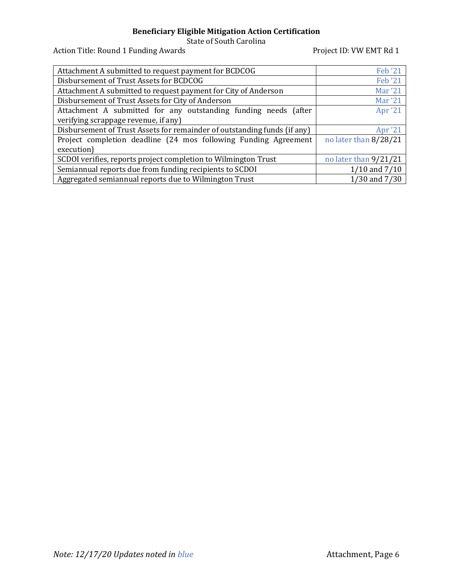State of South Carolina

Action Title: Round 1 Funding Awards **Project ID: VW EMT Rd 1** 

| Attachment A submitted to request payment for BCDCOG                     | <b>Feb</b> '21        |
|--------------------------------------------------------------------------|-----------------------|
| Disbursement of Trust Assets for BCDCOG                                  | <b>Feb</b> '21        |
| Attachment A submitted to request payment for City of Anderson           | <b>Mar '21</b>        |
| Disbursement of Trust Assets for City of Anderson                        | <b>Mar '21</b>        |
| Attachment A submitted for any outstanding funding needs (after          | Apr '21               |
| verifying scrappage revenue, if any)                                     |                       |
| Disbursement of Trust Assets for remainder of outstanding funds (if any) | Apr '21               |
| Project completion deadline (24 mos following Funding Agreement          | no later than 8/28/21 |
| execution)                                                               |                       |
| SCDOI verifies, reports project completion to Wilmington Trust           | no later than 9/21/21 |
| Semiannual reports due from funding recipients to SCDOI                  | $1/10$ and $7/10$     |
| Aggregated semiannual reports due to Wilmington Trust                    | 1/30 and 7/30         |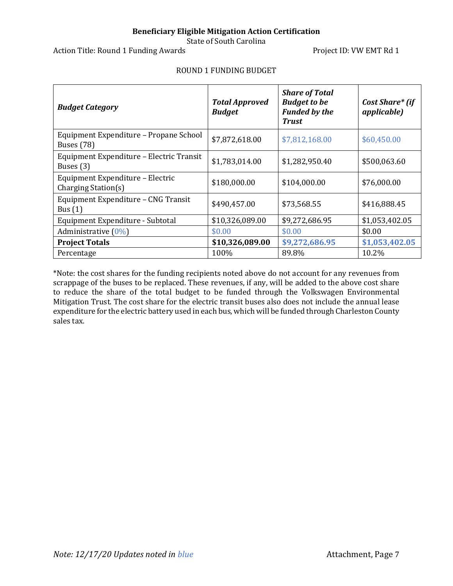State of South Carolina

Action Title: Round 1 Funding Awards **Project ID: VW EMT Rd 1** 

| <b>Budget Category</b>                                      | <b>Total Approved</b><br><b>Budget</b> | <b>Share of Total</b><br><b>Budget to be</b><br><b>Funded by the</b><br><b>Trust</b> | Cost Share* (if<br><i>applicable</i> ) |
|-------------------------------------------------------------|----------------------------------------|--------------------------------------------------------------------------------------|----------------------------------------|
| Equipment Expenditure - Propane School<br><b>Buses</b> (78) | \$7,872,618.00                         | \$7,812,168.00                                                                       | \$60,450.00                            |
| Equipment Expenditure - Electric Transit<br>Buses $(3)$     | \$1,783,014.00                         | \$1,282,950.40                                                                       | \$500,063.60                           |
| Equipment Expenditure - Electric<br>Charging Station(s)     | \$180,000.00                           | \$104,000.00                                                                         | \$76,000.00                            |
| Equipment Expenditure - CNG Transit<br>Bus $(1)$            | \$490,457.00                           | \$73,568.55                                                                          | \$416,888.45                           |
| Equipment Expenditure - Subtotal                            | \$10,326,089.00                        | \$9,272,686.95                                                                       | \$1,053,402.05                         |
| Administrative $(0\%)$                                      | \$0.00                                 | \$0.00                                                                               | \$0.00                                 |
| <b>Project Totals</b>                                       | \$10,326,089.00                        | \$9,272,686.95                                                                       | \$1,053,402.05                         |
| Percentage                                                  | 100%                                   | 89.8%                                                                                | 10.2%                                  |

#### ROUND 1 FUNDING BUDGET

\*Note: the cost shares for the funding recipients noted above do not account for any revenues from scrappage of the buses to be replaced. These revenues, if any, will be added to the above cost share to reduce the share of the total budget to be funded through the Volkswagen Environmental Mitigation Trust. The cost share for the electric transit buses also does not include the annual lease expenditure for the electric battery used in each bus, which will be funded through Charleston County sales tax.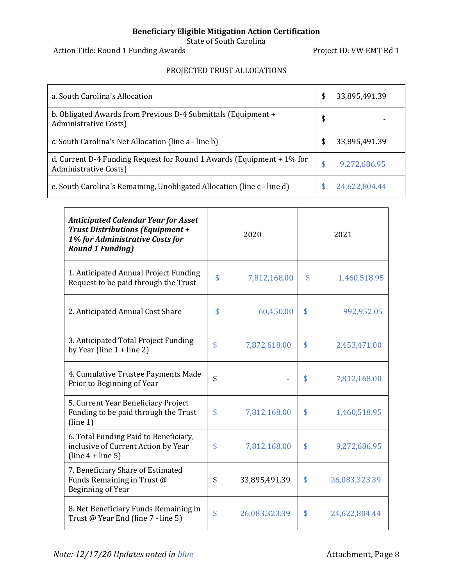State of South Carolina

Action Title: Round 1 Funding Awards **Project ID: VW EMT Rd 1** 

### PROJECTED TRUST ALLOCATIONS

| a. South Carolina's Allocation                                                                 | \$ | 33,895,491.39 |
|------------------------------------------------------------------------------------------------|----|---------------|
| b. Obligated Awards from Previous D-4 Submittals (Equipment +<br>Administrative Costs)         | \$ |               |
| c. South Carolina's Net Allocation (line a - line b)                                           | \$ | 33,895,491.39 |
| d. Current D-4 Funding Request for Round 1 Awards (Equipment + 1% for<br>Administrative Costs) | S  | 9,272,686.95  |
| e. South Carolina's Remaining, Unobligated Allocation (line c - line d)                        |    | 24,622,804.44 |

| <b>Anticipated Calendar Year for Asset</b><br><b>Trust Distributions (Equipment +</b><br>1% for Administrative Costs for<br><b>Round 1 Funding)</b> |                    | 2020          | 2021                |
|-----------------------------------------------------------------------------------------------------------------------------------------------------|--------------------|---------------|---------------------|
| 1. Anticipated Annual Project Funding<br>Request to be paid through the Trust                                                                       | $\mathbf{\hat{S}}$ | 7,812,168.00  | \$<br>1,460,518.95  |
| 2. Anticipated Annual Cost Share                                                                                                                    | \$                 | 60,450.00     | \$<br>992,952.05    |
| 3. Anticipated Total Project Funding<br>by Year (line $1 +$ line 2)                                                                                 | \$                 | 7,872,618.00  | \$<br>2,453,471.00  |
| 4. Cumulative Trustee Payments Made<br>Prior to Beginning of Year                                                                                   | \$                 |               | \$<br>7,812,168.00  |
| 5. Current Year Beneficiary Project<br>Funding to be paid through the Trust<br>(line 1)                                                             | \$                 | 7,812,168.00  | \$<br>1,460,518.95  |
| 6. Total Funding Paid to Beneficiary,<br>inclusive of Current Action by Year<br>$(line 4 + line 5)$                                                 | \$                 | 7,812,168.00  | \$<br>9,272,686.95  |
| 7. Beneficiary Share of Estimated<br>Funds Remaining in Trust @<br>Beginning of Year                                                                | \$                 | 33,895,491.39 | \$<br>26,083,323.39 |
| 8. Net Beneficiary Funds Remaining in<br>Trust @ Year End (line 7 - line 5)                                                                         | $\mathbf{\hat{S}}$ | 26,083,323.39 | \$<br>24,622,804.44 |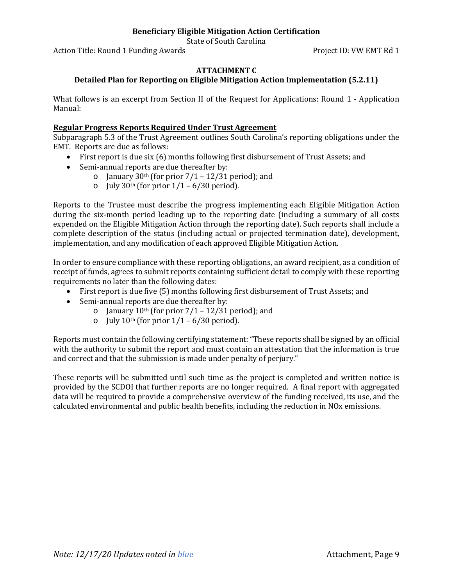State of South Carolina

Action Title: Round 1 Funding Awards **Project ID: VW EMT Rd 1** 

#### **ATTACHMENT C**

#### **Detailed Plan for Reporting on Eligible Mitigation Action Implementation (5.2.11)**

What follows is an excerpt from Section II of the Request for Applications: Round 1 - Application Manual:

#### **Regular Progress Reports Required Under Trust Agreement**

Subparagraph 5.3 of the Trust Agreement outlines South Carolina's reporting obligations under the EMT. Reports are due as follows:

- First report is due six (6) months following first disbursement of Trust Assets; and
- Semi-annual reports are due thereafter by:
	- o January 30<sup>th</sup> (for prior  $7/1 12/31$  period); and
	- o July 30<sup>th</sup> (for prior  $1/1 6/30$  period).

Reports to the Trustee must describe the progress implementing each Eligible Mitigation Action during the six-month period leading up to the reporting date (including a summary of all costs expended on the Eligible Mitigation Action through the reporting date). Such reports shall include a complete description of the status (including actual or projected termination date), development, implementation, and any modification of each approved Eligible Mitigation Action.

In order to ensure compliance with these reporting obligations, an award recipient, as a condition of receipt of funds, agrees to submit reports containing sufficient detail to comply with these reporting requirements no later than the following dates:

- First report is due five (5) months following first disbursement of Trust Assets; and
- Semi-annual reports are due thereafter by:
	- o January  $10^{th}$  (for prior  $7/1 12/31$  period); and
	- $\circ$  July 10<sup>th</sup> (for prior 1/1 6/30 period).

Reports must contain the following certifying statement: "These reports shall be signed by an official with the authority to submit the report and must contain an attestation that the information is true and correct and that the submission is made under penalty of perjury."

These reports will be submitted until such time as the project is completed and written notice is provided by the SCDOI that further reports are no longer required. A final report with aggregated data will be required to provide a comprehensive overview of the funding received, its use, and the calculated environmental and public health benefits, including the reduction in NOx emissions.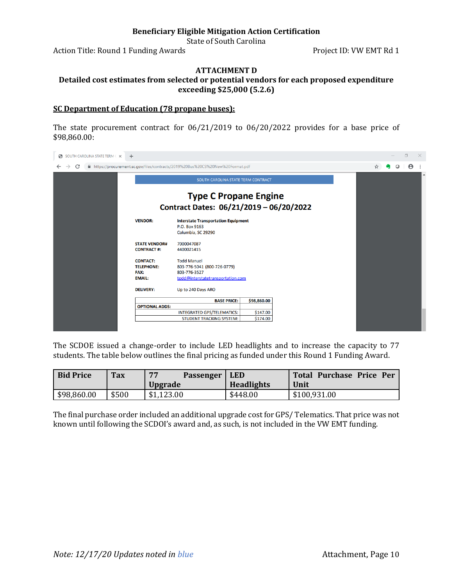State of South Carolina

Action Title: Round 1 Funding Awards **Project ID: VW EMT Rd** 1

# **ATTACHMENT D**

#### **Detailed cost estimates from selected or potential vendors for each proposed expenditure exceeding \$25,000 (5.2.6)**

#### **SC Department of Education (78 propane buses):**

The state procurement contract for 06/21/2019 to 06/20/2022 provides for a base price of \$98,860.00:



The SCDOE issued a change-order to include LED headlights and to increase the capacity to 77 students. The table below outlines the final pricing as funded under this Round 1 Funding Award.

| <b>Bid Price</b> | <b>Tax</b> | 77<br><b>Passenger</b><br><b>Upgrade</b> | <b>LED</b><br><b>Headlights</b> | Total Purchase Price Per<br>Unit |
|------------------|------------|------------------------------------------|---------------------------------|----------------------------------|
| \$98,860.00      | \$500      | \$1,123.00                               | \$448.00                        | \$100,931.00                     |

The final purchase order included an additional upgrade cost for GPS/ Telematics. That price was not known until following the SCDOI's award and, as such, is not included in the VW EMT funding.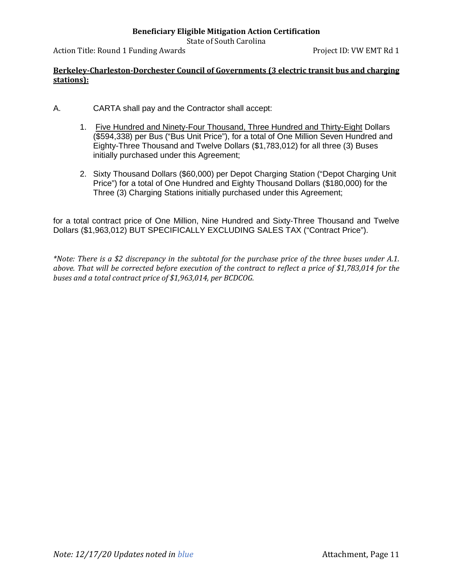State of South Carolina

Action Title: Round 1 Funding Awards **Project ID: VW EMT Rd 1** 

#### **Berkeley-Charleston-Dorchester Council of Governments (3 electric transit bus and charging stations):**

- A. CARTA shall pay and the Contractor shall accept:
	- 1. Five Hundred and Ninety-Four Thousand, Three Hundred and Thirty-Eight Dollars (\$594,338) per Bus ("Bus Unit Price"), for a total of One Million Seven Hundred and Eighty-Three Thousand and Twelve Dollars (\$1,783,012) for all three (3) Buses initially purchased under this Agreement;
	- 2. Sixty Thousand Dollars (\$60,000) per Depot Charging Station ("Depot Charging Unit Price") for a total of One Hundred and Eighty Thousand Dollars (\$180,000) for the Three (3) Charging Stations initially purchased under this Agreement;

for a total contract price of One Million, Nine Hundred and Sixty-Three Thousand and Twelve Dollars (\$1,963,012) BUT SPECIFICALLY EXCLUDING SALES TAX ("Contract Price").

*\*Note: There is a \$2 discrepancy in the subtotal for the purchase price of the three buses under A.1. above. That will be corrected before execution of the contract to reflect a price of \$1,783,014 for the buses and a total contract price of \$1,963,014, per BCDCOG.*